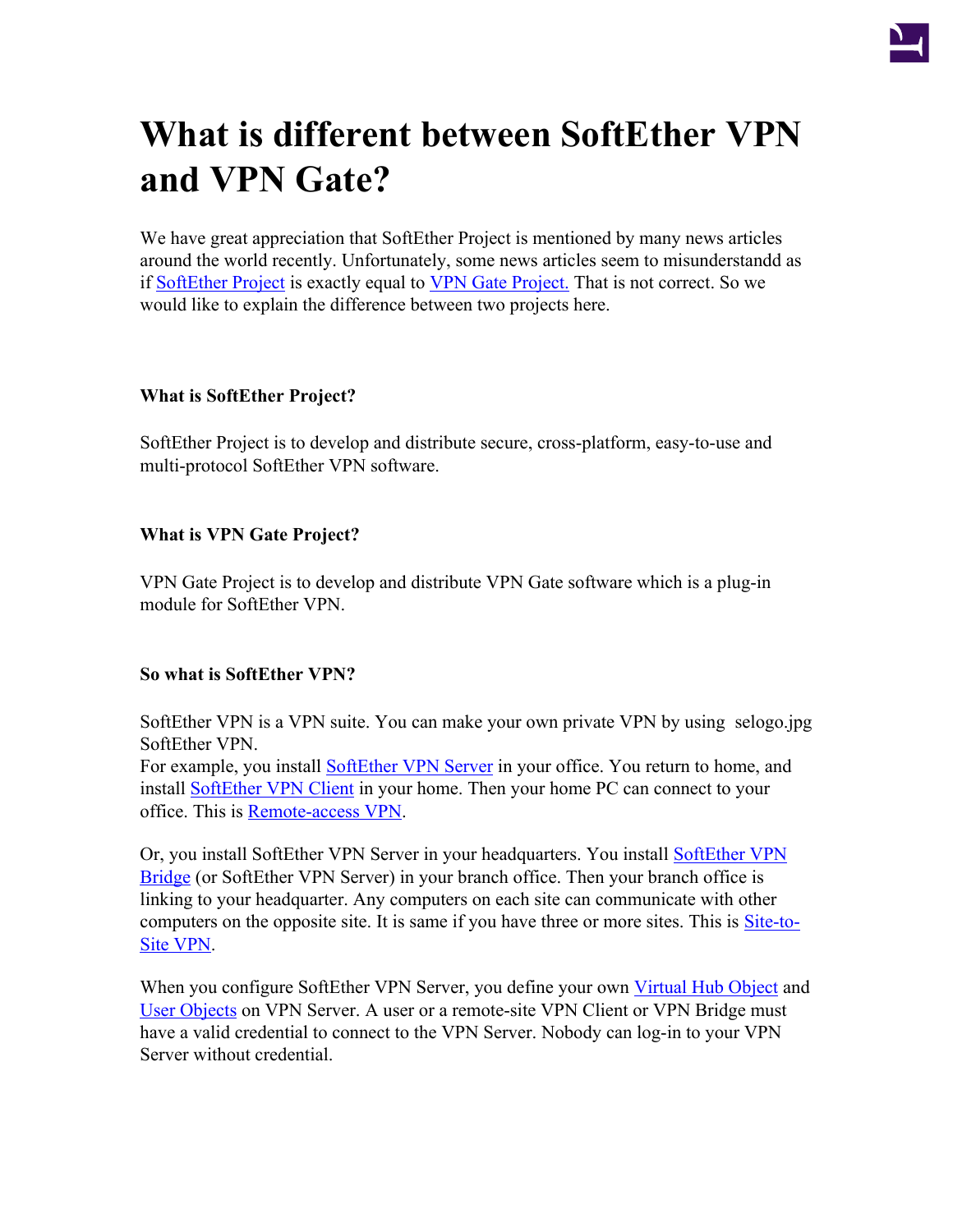

# <span id="page-0-0"></span>**What is different between SoftEther VPN and VPN Gate?**

We have great appreciation that SoftEther Project is mentioned by many news articles around the world recently. Unfortunately, some news articles seem to misunderstandd as if [SoftEther Project](#page-0-0) is exactly equal to [VPN Gate Project.](http://www.vpngate.net/) That is not correct. So we would like to explain the difference between two projects here.

## **What is SoftEther Project?**

SoftEther Project is to develop and distribute secure, cross-platform, easy-to-use and multi-protocol SoftEther VPN software.

## **What is VPN Gate Project?**

VPN Gate Project is to develop and distribute VPN Gate software which is a plug-in module for SoftEther VPN.

## **So what is SoftEther VPN?**

SoftEther VPN is a VPN suite. You can make your own private VPN by using selogo.jpg SoftEther VPN.

For example, you install [SoftEther VPN Server](http://www.softether.org/4-docs/1-manual/3._SoftEther_VPN_Server_Manual) in your office. You return to home, and install [SoftEther VPN Client](http://www.softether.org/4-docs/1-manual/4._SoftEther_VPN_Client_Manual) in your home. Then your home PC can connect to your office. This is [Remote-access VPN](http://www.softether.org/4-docs/1-manual/A._Examples_of_Building_VPN_Networks/10.4_Build_a_PC-to-LAN_Remote_Access_VPN).

Or, you install [SoftEther VPN](http://www.softether.org/4-docs/1-manual/5._SoftEther_VPN_Bridge_Manual) Server in your headquarters. You install SoftEther VPN [Bridge](http://www.softether.org/4-docs/1-manual/5._SoftEther_VPN_Bridge_Manual) (or SoftEther VPN Server) in your branch office. Then your branch office is linking to your headquarter. Any computers on each site can communicate with other computers on the opposite site. It is same if you have three or more sites. This is [Site-to-](http://www.softether.org/4-docs/1-manual/A._Examples_of_Building_VPN_Networks/10.5_Build_a_LAN-to-LAN_VPN_(Using_L2_Bridge))[Site VPN.](http://www.softether.org/4-docs/1-manual/A._Examples_of_Building_VPN_Networks/10.5_Build_a_LAN-to-LAN_VPN_(Using_L2_Bridge))

When you configure SoftEther VPN Server, you define your own [Virtual Hub Object](http://www.softether.org/4-docs/1-manual/3._SoftEther_VPN_Server_Manual/3.4_Virtual_Hub_Functions) and [User Objects](http://www.softether.org/4-docs/1-manual/2._SoftEther_VPN_Essential_Architecture/2.2_User_Authentication) on VPN Server. A user or a remote-site VPN Client or VPN Bridge must have a valid credential to connect to the VPN Server. Nobody can log-in to your VPN Server without credential.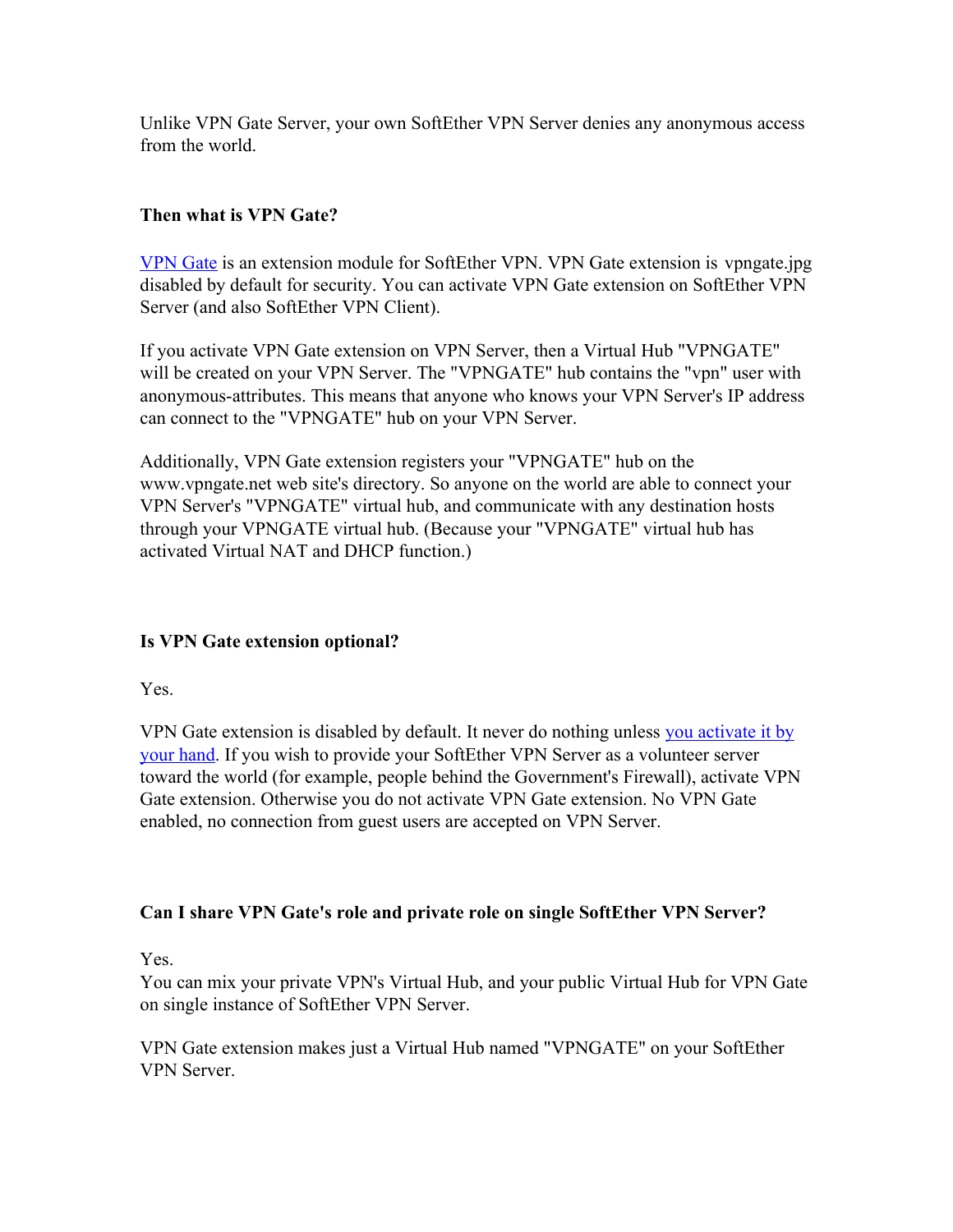Unlike VPN Gate Server, your own SoftEther VPN Server denies any anonymous access from the world.

## **Then what is VPN Gate?**

[VPN Gate](http://www.vpngate.net/) is an extension module for SoftEther VPN. VPN Gate extension is vpngate.jpg disabled by default for security. You can activate VPN Gate extension on SoftEther VPN Server (and also SoftEther VPN Client).

If you activate VPN Gate extension on VPN Server, then a Virtual Hub "VPNGATE" will be created on your VPN Server. The "VPNGATE" hub contains the "vpn" user with anonymous-attributes. This means that anyone who knows your VPN Server's IP address can connect to the "VPNGATE" hub on your VPN Server.

Additionally, VPN Gate extension registers your "VPNGATE" hub on the www.vpngate.net web site's directory. So anyone on the world are able to connect your VPN Server's "VPNGATE" virtual hub, and communicate with any destination hosts through your VPNGATE virtual hub. (Because your "VPNGATE" virtual hub has activated Virtual NAT and DHCP function.)

# **Is VPN Gate extension optional?**

Yes.

VPN Gate extension is disabled by default. It never do nothing unless [you activate it by](http://www.vpngate.net/en/join.aspx) [your hand](http://www.vpngate.net/en/join.aspx). If you wish to provide your SoftEther VPN Server as a volunteer server toward the world (for example, people behind the Government's Firewall), activate VPN Gate extension. Otherwise you do not activate VPN Gate extension. No VPN Gate enabled, no connection from guest users are accepted on VPN Server.

# **Can I share VPN Gate's role and private role on single SoftEther VPN Server?**

Yes.

You can mix your private VPN's Virtual Hub, and your public Virtual Hub for VPN Gate on single instance of SoftEther VPN Server.

VPN Gate extension makes just a Virtual Hub named "VPNGATE" on your SoftEther VPN Server.